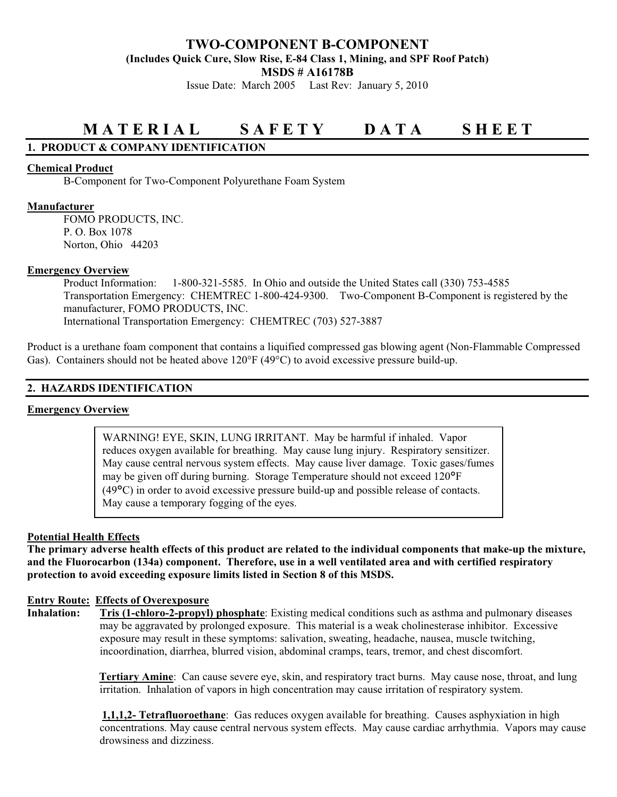## **TWO-COMPONENT B-COMPONENT (Includes Quick Cure, Slow Rise, E-84 Class 1, Mining, and SPF Roof Patch) MSDS # A16178B**

Issue Date: March 2005 Last Rev: January 5, 2010

# **M A T E R I A L S A F E T Y D A T A S H E E T**

## **1. PRODUCT & COMPANY IDENTIFICATION**

#### **Chemical Product**

B-Component for Two-Component Polyurethane Foam System

#### **Manufacturer**

 FOMO PRODUCTS, INC. P. O. Box 1078 Norton, Ohio 44203

#### **Emergency Overview**

 Product Information: 1-800-321-5585. In Ohio and outside the United States call (330) 753-4585 Transportation Emergency: CHEMTREC 1-800-424-9300. Two-Component B-Component is registered by the manufacturer, FOMO PRODUCTS, INC. International Transportation Emergency: CHEMTREC (703) 527-3887

Product is a urethane foam component that contains a liquified compressed gas blowing agent (Non-Flammable Compressed Gas). Containers should not be heated above  $120^{\circ}F (49^{\circ}C)$  to avoid excessive pressure build-up.

### **2. HAZARDS IDENTIFICATION**

## **Emergency Overview**

WARNING! EYE, SKIN, LUNG IRRITANT. May be harmful if inhaled. Vapor reduces oxygen available for breathing. May cause lung injury. Respiratory sensitizer. May cause central nervous system effects. May cause liver damage. Toxic gases/fumes may be given off during burning. Storage Temperature should not exceed 120°F (49°C) in order to avoid excessive pressure build-up and possible release of contacts. May cause a temporary fogging of the eyes.

#### **Potential Health Effects**

**The primary adverse health effects of this product are related to the individual components that make-up the mixture, and the Fluorocarbon (134a) component. Therefore, use in a well ventilated area and with certified respiratory protection to avoid exceeding exposure limits listed in Section 8 of this MSDS.** 

#### **Entry Route: Effects of Overexposure**

**Inhalation: Tris (1-chloro-2-propyl) phosphate**: Existing medical conditions such as asthma and pulmonary diseases may be aggravated by prolonged exposure. This material is a weak cholinesterase inhibitor. Excessive exposure may result in these symptoms: salivation, sweating, headache, nausea, muscle twitching, incoordination, diarrhea, blurred vision, abdominal cramps, tears, tremor, and chest discomfort.

> **Tertiary Amine**: Can cause severe eye, skin, and respiratory tract burns. May cause nose, throat, and lung irritation. Inhalation of vapors in high concentration may cause irritation of respiratory system.

 **1,1,1,2- Tetrafluoroethane**: Gas reduces oxygen available for breathing. Causes asphyxiation in high concentrations. May cause central nervous system effects. May cause cardiac arrhythmia. Vapors may cause drowsiness and dizziness.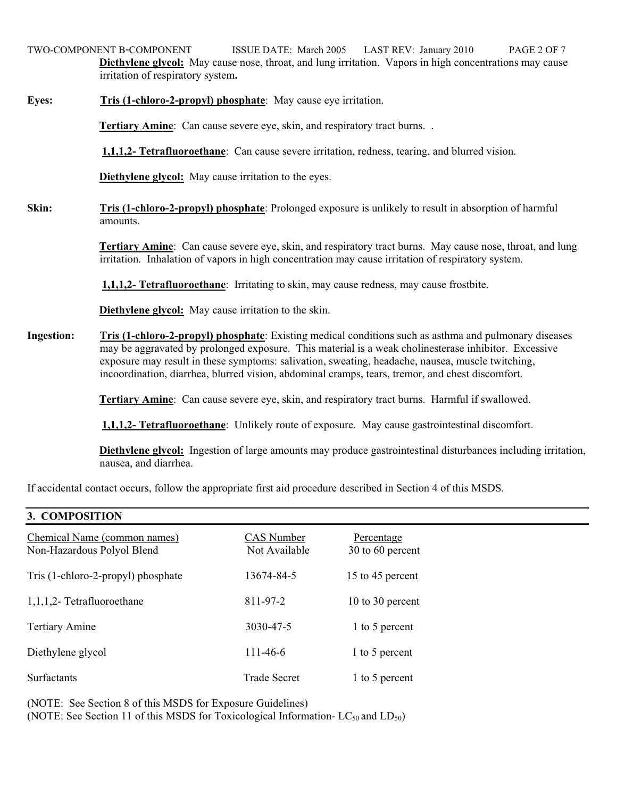TWO-COMPONENT B-COMPONENT ISSUE DATE: March 2005 LAST REV: January 2010 PAGE 2 OF 7 **Diethylene glycol:** May cause nose, throat, and lung irritation. Vapors in high concentrations may cause irritation of respiratory system**.**

## **Eyes:** Tris (1-chloro-2-propyl) phosphate: May cause eye irritation.

**Tertiary Amine:** Can cause severe eye, skin, and respiratory tract burns. .

**1,1,1,2- Tetrafluoroethane**: Can cause severe irritation, redness, tearing, and blurred vision.

**Diethylene glycol:** May cause irritation to the eyes.

**Skin:** Tris (1-chloro-2-propyl) phosphate: Prolonged exposure is unlikely to result in absorption of harmful amounts.

> **Tertiary Amine**: Can cause severe eye, skin, and respiratory tract burns. May cause nose, throat, and lung irritation. Inhalation of vapors in high concentration may cause irritation of respiratory system.

**1,1,1,2- Tetrafluoroethane**: Irritating to skin, may cause redness, may cause frostbite.

**Diethylene glycol:** May cause irritation to the skin.

**Ingestion: Tris (1-chloro-2-propyl) phosphate**: Existing medical conditions such as asthma and pulmonary diseases may be aggravated by prolonged exposure. This material is a weak cholinesterase inhibitor. Excessive exposure may result in these symptoms: salivation, sweating, headache, nausea, muscle twitching, incoordination, diarrhea, blurred vision, abdominal cramps, tears, tremor, and chest discomfort.

**Tertiary Amine**: Can cause severe eye, skin, and respiratory tract burns. Harmful if swallowed.

**1,1,1,2- Tetrafluoroethane**: Unlikely route of exposure. May cause gastrointestinal discomfort.

 **Diethylene glycol:** Ingestion of large amounts may produce gastrointestinal disturbances including irritation, nausea, and diarrhea.

If accidental contact occurs, follow the appropriate first aid procedure described in Section 4 of this MSDS.

## **3. COMPOSITION**

| Chemical Name (common names)<br>Non-Hazardous Polyol Blend | CAS Number<br>Not Available | Percentage<br>30 to 60 percent |
|------------------------------------------------------------|-----------------------------|--------------------------------|
| Tris (1-chloro-2-propyl) phosphate                         | 13674-84-5                  | 15 to 45 percent               |
| $1,1,1,2$ - Tetrafluoroethane                              | 811-97-2                    | 10 to 30 percent               |
| <b>Tertiary Amine</b>                                      | 3030-47-5                   | 1 to 5 percent                 |
| Diethylene glycol                                          | $111 - 46 - 6$              | 1 to 5 percent                 |
| <b>Surfactants</b>                                         | <b>Trade Secret</b>         | 1 to 5 percent                 |

(NOTE: See Section 8 of this MSDS for Exposure Guidelines)

(NOTE: See Section 11 of this MSDS for Toxicological Information-  $LC_{50}$  and  $LD_{50}$ )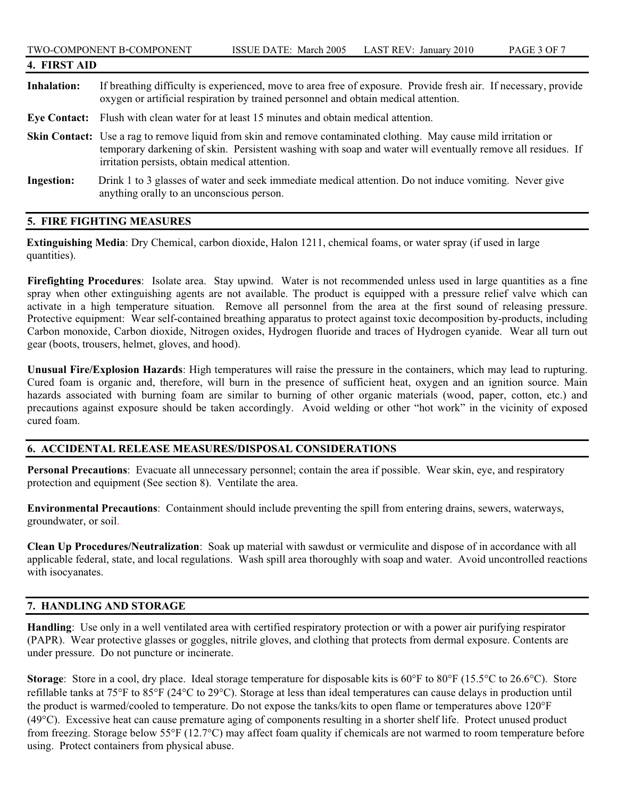| 4. FIRST AID       |                                                                                                                                                                                                                                                                                           |  |
|--------------------|-------------------------------------------------------------------------------------------------------------------------------------------------------------------------------------------------------------------------------------------------------------------------------------------|--|
| <b>Inhalation:</b> | If breathing difficulty is experienced, move to area free of exposure. Provide fresh air. If necessary, provide<br>oxygen or artificial respiration by trained personnel and obtain medical attention.                                                                                    |  |
|                    | Eye Contact: Flush with clean water for at least 15 minutes and obtain medical attention.                                                                                                                                                                                                 |  |
|                    | <b>Skin Contact:</b> Use a rag to remove liquid from skin and remove contaminated clothing. May cause mild irritation or<br>temporary darkening of skin. Persistent washing with soap and water will eventually remove all residues. If<br>irritation persists, obtain medical attention. |  |
| <b>Ingestion:</b>  | Drink 1 to 3 glasses of water and seek immediate medical attention. Do not induce vomiting. Never give<br>anything orally to an unconscious person.                                                                                                                                       |  |

#### **5. FIRE FIGHTING MEASURES**

**Extinguishing Media**: Dry Chemical, carbon dioxide, Halon 1211, chemical foams, or water spray (if used in large quantities).

**Firefighting Procedures**: Isolate area. Stay upwind. Water is not recommended unless used in large quantities as a fine spray when other extinguishing agents are not available. The product is equipped with a pressure relief valve which can activate in a high temperature situation. Remove all personnel from the area at the first sound of releasing pressure. Protective equipment: Wear self-contained breathing apparatus to protect against toxic decomposition by-products, including Carbon monoxide, Carbon dioxide, Nitrogen oxides, Hydrogen fluoride and traces of Hydrogen cyanide. Wear all turn out gear (boots, trousers, helmet, gloves, and hood).

**Unusual Fire/Explosion Hazards**: High temperatures will raise the pressure in the containers, which may lead to rupturing. Cured foam is organic and, therefore, will burn in the presence of sufficient heat, oxygen and an ignition source. Main hazards associated with burning foam are similar to burning of other organic materials (wood, paper, cotton, etc.) and precautions against exposure should be taken accordingly. Avoid welding or other "hot work" in the vicinity of exposed cured foam.

## **6. ACCIDENTAL RELEASE MEASURES/DISPOSAL CONSIDERATIONS**

**Personal Precautions**: Evacuate all unnecessary personnel; contain the area if possible. Wear skin, eye, and respiratory protection and equipment (See section 8). Ventilate the area.

**Environmental Precautions**: Containment should include preventing the spill from entering drains, sewers, waterways, groundwater, or soil.

**Clean Up Procedures/Neutralization**: Soak up material with sawdust or vermiculite and dispose of in accordance with all applicable federal, state, and local regulations. Wash spill area thoroughly with soap and water. Avoid uncontrolled reactions with isocyanates.

## **7. HANDLING AND STORAGE**

**Handling**: Use only in a well ventilated area with certified respiratory protection or with a power air purifying respirator (PAPR). Wear protective glasses or goggles, nitrile gloves, and clothing that protects from dermal exposure. Contents are under pressure. Do not puncture or incinerate.

**Storage:** Store in a cool, dry place. Ideal storage temperature for disposable kits is 60°F to 80°F (15.5°C to 26.6°C). Store refillable tanks at  $75^{\circ}$ F to  $85^{\circ}$ F (24 $^{\circ}$ C to 29 $^{\circ}$ C). Storage at less than ideal temperatures can cause delays in production until the product is warmed/cooled to temperature. Do not expose the tanks/kits to open flame or temperatures above  $120^{\circ}F$  $(49^{\circ}C)$ . Excessive heat can cause premature aging of components resulting in a shorter shelf life. Protect unused product from freezing. Storage below  $55^{\circ}F (12.7^{\circ}C)$  may affect foam quality if chemicals are not warmed to room temperature before using. Protect containers from physical abuse.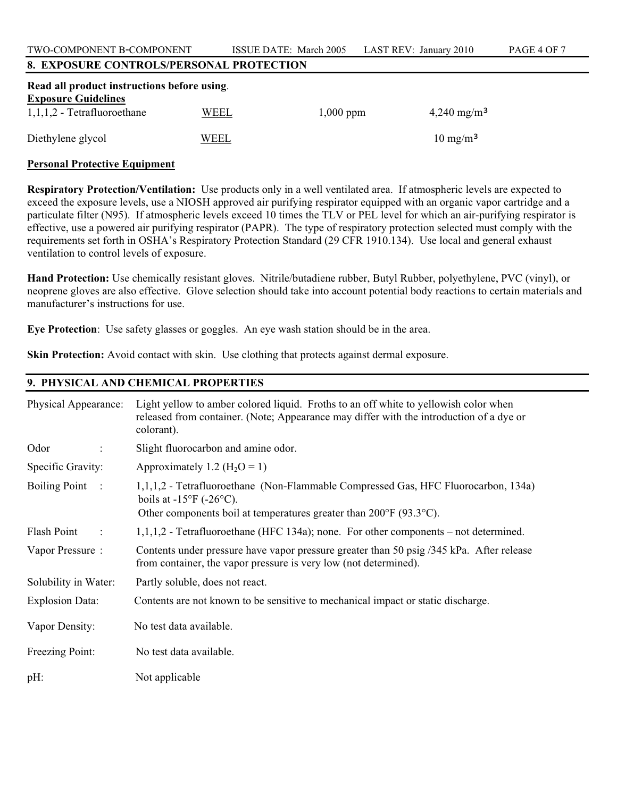TWO-COMPONENT B-COMPONENT ISSUE DATE: March 2005 LAST REV: January 2010 PAGE 4 OF 7

## **8. EXPOSURE CONTROLS/PERSONAL PROTECTION**

| Read all product instructions before using. |      |             |                        |  |  |
|---------------------------------------------|------|-------------|------------------------|--|--|
| <b>Exposure Guidelines</b>                  |      |             |                        |  |  |
| $1,1,1,2$ - Tetrafluoroethane               | WEEL | $1,000$ ppm | $4,240 \text{ mg/m}^3$ |  |  |
| Diethylene glycol                           | WEEL |             | $10 \text{ mg/m}^3$    |  |  |
|                                             |      |             |                        |  |  |

#### **Personal Protective Equipment**

**Respiratory Protection/Ventilation:** Use products only in a well ventilated area. If atmospheric levels are expected to exceed the exposure levels, use a NIOSH approved air purifying respirator equipped with an organic vapor cartridge and a particulate filter (N95). If atmospheric levels exceed 10 times the TLV or PEL level for which an air-purifying respirator is effective, use a powered air purifying respirator (PAPR). The type of respiratory protection selected must comply with the requirements set forth in OSHA's Respiratory Protection Standard (29 CFR 1910.134). Use local and general exhaust ventilation to control levels of exposure.

**Hand Protection:** Use chemically resistant gloves. Nitrile/butadiene rubber, Butyl Rubber, polyethylene, PVC (vinyl), or neoprene gloves are also effective. Glove selection should take into account potential body reactions to certain materials and manufacturer's instructions for use.

**Eye Protection**: Use safety glasses or goggles. An eye wash station should be in the area.

**Skin Protection:** Avoid contact with skin. Use clothing that protects against dermal exposure.

## **9. PHYSICAL AND CHEMICAL PROPERTIES**

| Physical Appearance:     | Light yellow to amber colored liquid. Froths to an off white to yellowish color when<br>released from container. (Note; Appearance may differ with the introduction of a dye or<br>colorant).                                |
|--------------------------|------------------------------------------------------------------------------------------------------------------------------------------------------------------------------------------------------------------------------|
| Odor<br>$\ddot{\cdot}$   | Slight fluorocarbon and amine odor.                                                                                                                                                                                          |
| Specific Gravity:        | Approximately 1.2 ( $H_2O = 1$ )                                                                                                                                                                                             |
| Boiling Point :          | 1,1,1,2 - Tetrafluoroethane (Non-Flammable Compressed Gas, HFC Fluorocarbon, 134a)<br>boils at $-15^{\circ}F$ ( $-26^{\circ}C$ ).<br>Other components boil at temperatures greater than $200^{\circ}$ F (93.3 $^{\circ}$ C). |
| Flash Point<br>$\sim$ 1. | $1,1,1,2$ - Tetrafluoroethane (HFC 134a); none. For other components – not determined.                                                                                                                                       |
| Vapor Pressure:          | Contents under pressure have vapor pressure greater than 50 psig /345 kPa. After release<br>from container, the vapor pressure is very low (not determined).                                                                 |
| Solubility in Water:     | Partly soluble, does not react.                                                                                                                                                                                              |
| <b>Explosion Data:</b>   | Contents are not known to be sensitive to mechanical impact or static discharge.                                                                                                                                             |
| Vapor Density:           | No test data available.                                                                                                                                                                                                      |
| Freezing Point:          | No test data available.                                                                                                                                                                                                      |
| pH:                      | Not applicable                                                                                                                                                                                                               |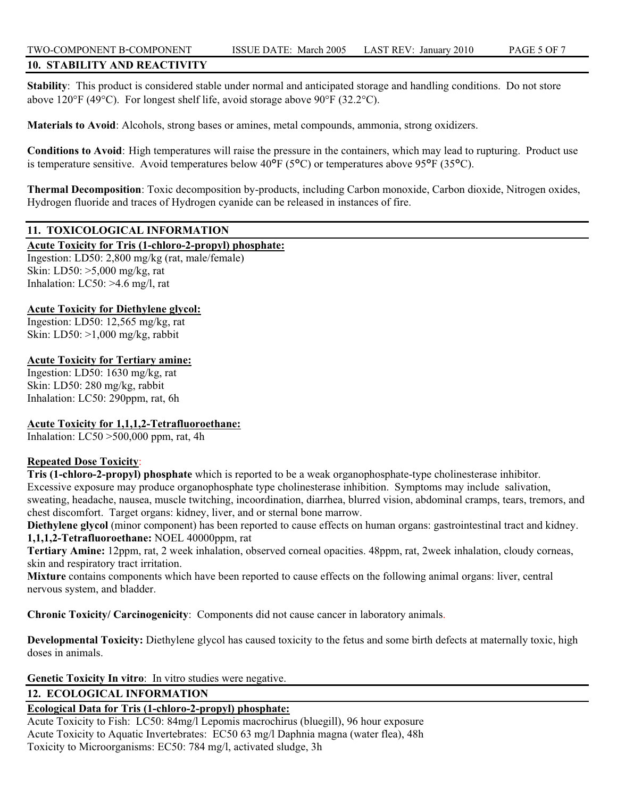## **10. STABILITY AND REACTIVITY**

**Stability**: This product is considered stable under normal and anticipated storage and handling conditions. Do not store above 120°F (49°C). For longest shelf life, avoid storage above 90°F (32.2°C).

**Materials to Avoid**: Alcohols, strong bases or amines, metal compounds, ammonia, strong oxidizers.

**Conditions to Avoid**: High temperatures will raise the pressure in the containers, which may lead to rupturing. Product use is temperature sensitive. Avoid temperatures below 40°F (5°C) or temperatures above 95°F (35°C).

**Thermal Decomposition**: Toxic decomposition by-products, including Carbon monoxide, Carbon dioxide, Nitrogen oxides, Hydrogen fluoride and traces of Hydrogen cyanide can be released in instances of fire.

## **11. TOXICOLOGICAL INFORMATION**

**Acute Toxicity for Tris (1-chloro-2-propyl) phosphate:**

Ingestion: LD50: 2,800 mg/kg (rat, male/female) Skin: LD50: >5,000 mg/kg, rat Inhalation:  $LC50$ :  $>4.6$  mg/l, rat

## **Acute Toxicity for Diethylene glycol:**

Ingestion: LD50: 12,565 mg/kg, rat Skin: LD50: >1,000 mg/kg, rabbit

## **Acute Toxicity for Tertiary amine:**

Ingestion: LD50: 1630 mg/kg, rat Skin: LD50: 280 mg/kg, rabbit Inhalation: LC50: 290ppm, rat, 6h

## **Acute Toxicity for 1,1,1,2-Tetrafluoroethane:**

Inhalation:  $LC50 > 500,000$  ppm, rat, 4h

## **Repeated Dose Toxicity**:

**Tris (1-chloro-2-propyl) phosphate** which is reported to be a weak organophosphate-type cholinesterase inhibitor. Excessive exposure may produce organophosphate type cholinesterase inhibition. Symptoms may include salivation, sweating, headache, nausea, muscle twitching, incoordination, diarrhea, blurred vision, abdominal cramps, tears, tremors, and chest discomfort. Target organs: kidney, liver, and or sternal bone marrow.

**Diethylene glycol** (minor component) has been reported to cause effects on human organs: gastrointestinal tract and kidney. **1,1,1,2-Tetrafluoroethane:** NOEL 40000ppm, rat

**Tertiary Amine:** 12ppm, rat, 2 week inhalation, observed corneal opacities. 48ppm, rat, 2week inhalation, cloudy corneas, skin and respiratory tract irritation.

**Mixture** contains components which have been reported to cause effects on the following animal organs: liver, central nervous system, and bladder.

**Chronic Toxicity/ Carcinogenicity**: Components did not cause cancer in laboratory animals.

**Developmental Toxicity:** Diethylene glycol has caused toxicity to the fetus and some birth defects at maternally toxic, high doses in animals.

**Genetic Toxicity In vitro**: In vitro studies were negative.

## **12. ECOLOGICAL INFORMATION**

## **Ecological Data for Tris (1-chloro-2-propyl) phosphate:**

Acute Toxicity to Fish: LC50: 84mg/l Lepomis macrochirus (bluegill), 96 hour exposure Acute Toxicity to Aquatic Invertebrates: EC50 63 mg/l Daphnia magna (water flea), 48h Toxicity to Microorganisms: EC50: 784 mg/l, activated sludge, 3h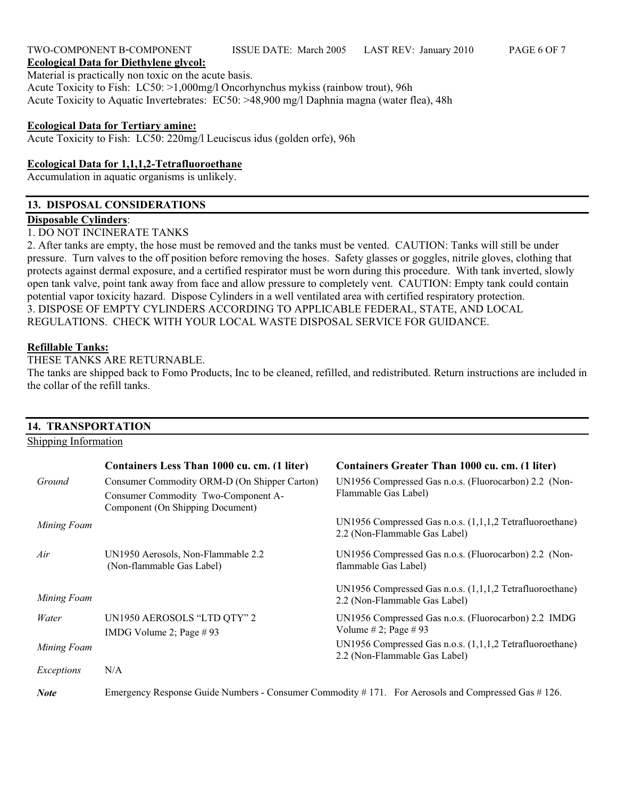#### TWO-COMPONENT B-COMPONENT ISSUE DATE: March 2005 LAST REV: January 2010 PAGE 6 OF 7 **Ecological Data for Diethylene glycol:**

Material is practically non toxic on the acute basis. Acute Toxicity to Fish: LC50: >1,000mg/l Oncorhynchus mykiss (rainbow trout), 96h Acute Toxicity to Aquatic Invertebrates: EC50: >48,900 mg/l Daphnia magna (water flea), 48h

### **Ecological Data for Tertiary amine:**

Acute Toxicity to Fish: LC50: 220mg/l Leuciscus idus (golden orfe), 96h

### **Ecological Data for 1,1,1,2-Tetrafluoroethane**

Accumulation in aquatic organisms is unlikely.

## **13. DISPOSAL CONSIDERATIONS**

#### **Disposable Cylinders**:

1. DO NOT INCINERATE TANKS

2. After tanks are empty, the hose must be removed and the tanks must be vented. CAUTION: Tanks will still be under pressure. Turn valves to the off position before removing the hoses. Safety glasses or goggles, nitrile gloves, clothing that protects against dermal exposure, and a certified respirator must be worn during this procedure. With tank inverted, slowly open tank valve, point tank away from face and allow pressure to completely vent. CAUTION: Empty tank could contain potential vapor toxicity hazard. Dispose Cylinders in a well ventilated area with certified respiratory protection. 3. DISPOSE OF EMPTY CYLINDERS ACCORDING TO APPLICABLE FEDERAL, STATE, AND LOCAL REGULATIONS. CHECK WITH YOUR LOCAL WASTE DISPOSAL SERVICE FOR GUIDANCE.

#### **Refillable Tanks:**

THESE TANKS ARE RETURNABLE.

The tanks are shipped back to Fomo Products, Inc to be cleaned, refilled, and redistributed. Return instructions are included in the collar of the refill tanks.

#### **14. TRANSPORTATION**  Shipping Information **Containers Less Than 1000 cu. cm. (1 liter) Containers Greater Than 1000 cu. cm. (1 liter)** *Ground Mining Foam* Consumer Commodity ORM-D (On Shipper Carton) Consumer Commodity Two-Component A-Component (On Shipping Document) UN1956 Compressed Gas n.o.s. (Fluorocarbon) 2.2 (Non-Flammable Gas Label) UN1956 Compressed Gas n.o.s. (1,1,1,2 Tetrafluoroethane) 2.2 (Non-Flammable Gas Label) *Air Mining Foam* UN1950 Aerosols, Non-Flammable 2.2 (Non-flammable Gas Label) UN1956 Compressed Gas n.o.s. (Fluorocarbon) 2.2 (Nonflammable Gas Label) UN1956 Compressed Gas n.o.s. (1,1,1,2 Tetrafluoroethane) 2.2 (Non-Flammable Gas Label) *Water Mining Foam* UN1950 AEROSOLS "LTD QTY" 2 IMDG Volume 2; Page # 93 UN1956 Compressed Gas n.o.s. (Fluorocarbon) 2.2 IMDG Volume # 2; Page # 93 UN1956 Compressed Gas n.o.s. (1,1,1,2 Tetrafluoroethane) 2.2 (Non-Flammable Gas Label) *Exceptions* N/A

*Note* Emergency Response Guide Numbers - Consumer Commodity # 171. For Aerosols and Compressed Gas # 126.